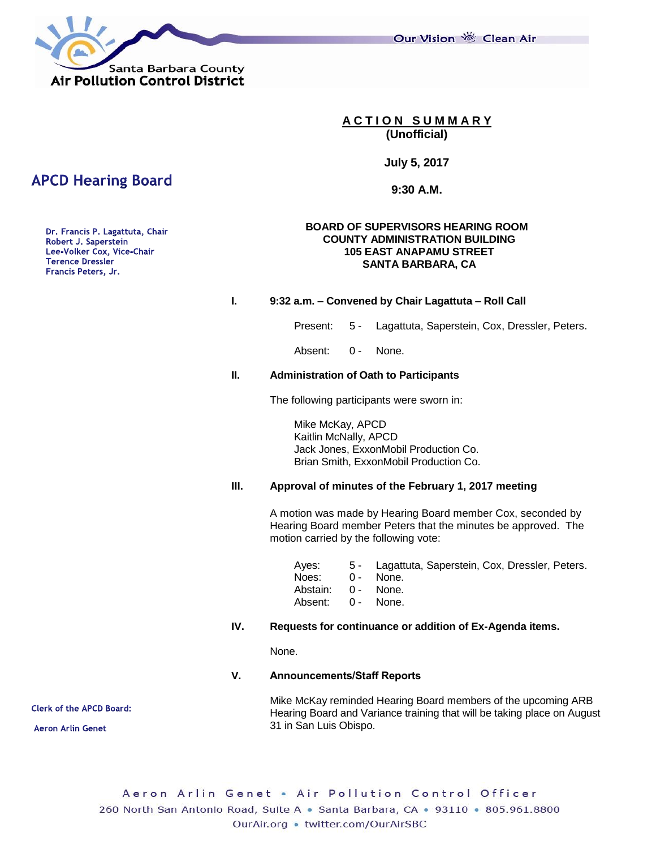Our Vision 卷 Clean Air



**A C T I O N S U M M A R Y (Unofficial)**

**July 5, 2017**

**9:30 A.M.**

#### **BOARD OF SUPERVISORS HEARING ROOM COUNTY ADMINISTRATION BUILDING 105 EAST ANAPAMU STREET SANTA BARBARA, CA**

#### **I. 9:32 a.m. – Convened by Chair Lagattuta – Roll Call**

Present: 5 - Lagattuta, Saperstein, Cox, Dressler, Peters.

Absent: 0 - None.

#### **II. Administration of Oath to Participants**

The following participants were sworn in:

Mike McKay, APCD Kaitlin McNally, APCD Jack Jones, ExxonMobil Production Co. Brian Smith, ExxonMobil Production Co.

#### **III. Approval of minutes of the February 1, 2017 meeting**

A motion was made by Hearing Board member Cox, seconded by Hearing Board member Peters that the minutes be approved. The motion carried by the following vote:

| 5 - Lagattuta, Saperstein, Cox, Dressler, Peters. |
|---------------------------------------------------|
| 0 - None.                                         |
| Abstain: 0 - None.                                |
| Absent: 0 - None.                                 |
|                                                   |

## **IV. Requests for continuance or addition of Ex-Agenda items.**

None.

#### **V. Announcements/Staff Reports**

Mike McKay reminded Hearing Board members of the upcoming ARB Hearing Board and Variance training that will be taking place on August 31 in San Luis Obispo.

Aeron Arlin Genet . Air Pollution Control Officer 260 North San Antonio Road, Suite A · Santa Barbara, CA · 93110 · 805.961.8800 OurAir.org • twitter.com/OurAirSBC

# **APCD Hearing Board**

Dr. Francis P. Lagattuta, Chair Robert J. Saperstein Lee-Volker Cox, Vice-Chair **Terence Dressler** Francis Peters, Jr.

**Clerk of the APCD Board:** 

**Aeron Arlin Genet**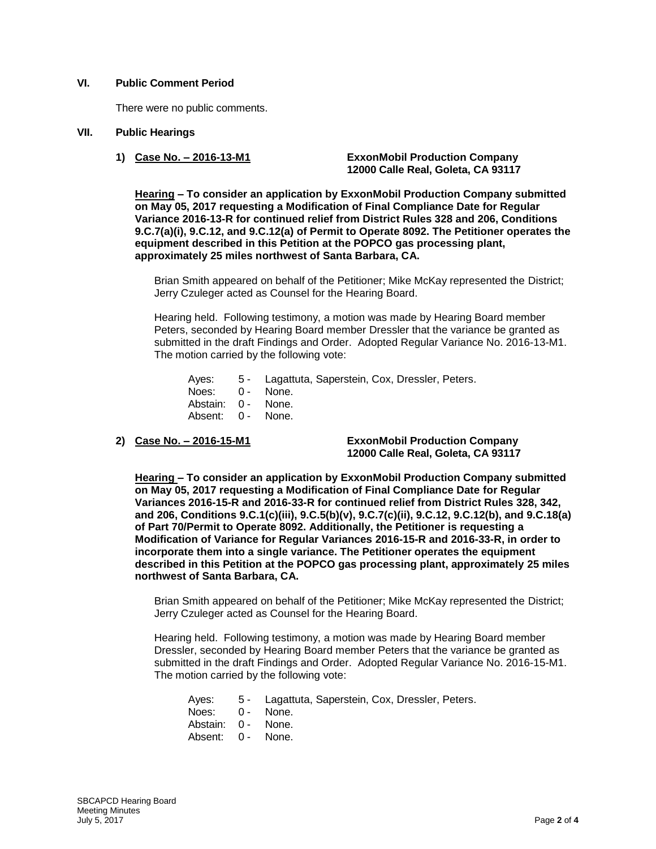### **VI. Public Comment Period**

There were no public comments.

### **VII. Public Hearings**

**1) Case No. – 2016-13-M1 ExxonMobil Production Company 12000 Calle Real, Goleta, CA 93117**

**Hearing – To consider an application by ExxonMobil Production Company submitted on May 05, 2017 requesting a Modification of Final Compliance Date for Regular Variance 2016-13-R for continued relief from District Rules 328 and 206, Conditions 9.C.7(a)(i), 9.C.12, and 9.C.12(a) of Permit to Operate 8092. The Petitioner operates the equipment described in this Petition at the POPCO gas processing plant, approximately 25 miles northwest of Santa Barbara, CA.** 

Brian Smith appeared on behalf of the Petitioner; Mike McKay represented the District; Jerry Czuleger acted as Counsel for the Hearing Board.

Hearing held. Following testimony, a motion was made by Hearing Board member Peters, seconded by Hearing Board member Dressler that the variance be granted as submitted in the draft Findings and Order. Adopted Regular Variance No. 2016-13-M1. The motion carried by the following vote:

Ayes: 5 - Lagattuta, Saperstein, Cox, Dressler, Peters. Noes: 0 - None. Abstain: 0 - None. Absent: 0 - None.

**2) Case No. – 2016-15-M1 ExxonMobil Production Company 12000 Calle Real, Goleta, CA 93117**

**Hearing – To consider an application by ExxonMobil Production Company submitted on May 05, 2017 requesting a Modification of Final Compliance Date for Regular Variances 2016-15-R and 2016-33-R for continued relief from District Rules 328, 342, and 206, Conditions 9.C.1(c)(iii), 9.C.5(b)(v), 9.C.7(c)(ii), 9.C.12, 9.C.12(b), and 9.C.18(a) of Part 70/Permit to Operate 8092. Additionally, the Petitioner is requesting a Modification of Variance for Regular Variances 2016-15-R and 2016-33-R, in order to incorporate them into a single variance. The Petitioner operates the equipment described in this Petition at the POPCO gas processing plant, approximately 25 miles northwest of Santa Barbara, CA.**

Brian Smith appeared on behalf of the Petitioner; Mike McKay represented the District; Jerry Czuleger acted as Counsel for the Hearing Board.

Hearing held. Following testimony, a motion was made by Hearing Board member Dressler, seconded by Hearing Board member Peters that the variance be granted as submitted in the draft Findings and Order. Adopted Regular Variance No. 2016-15-M1. The motion carried by the following vote:

- Ayes: 5 Lagattuta, Saperstein, Cox, Dressler, Peters.
- Noes: 0 None.
- Abstain: 0 None.
- Absent: 0 None.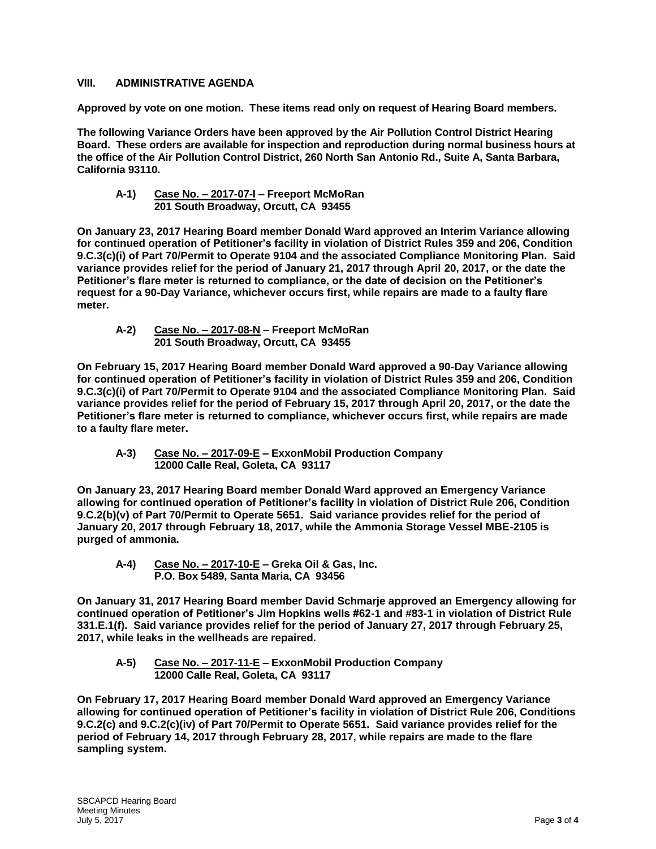# **VIII. ADMINISTRATIVE AGENDA**

**Approved by vote on one motion. These items read only on request of Hearing Board members.**

**The following Variance Orders have been approved by the Air Pollution Control District Hearing Board. These orders are available for inspection and reproduction during normal business hours at the office of the Air Pollution Control District, 260 North San Antonio Rd., Suite A, Santa Barbara, California 93110.**

### **A-1) Case No. – 2017-07-I – Freeport McMoRan 201 South Broadway, Orcutt, CA 93455**

**On January 23, 2017 Hearing Board member Donald Ward approved an Interim Variance allowing for continued operation of Petitioner's facility in violation of District Rules 359 and 206, Condition 9.C.3(c)(i) of Part 70/Permit to Operate 9104 and the associated Compliance Monitoring Plan. Said variance provides relief for the period of January 21, 2017 through April 20, 2017, or the date the Petitioner's flare meter is returned to compliance, or the date of decision on the Petitioner's request for a 90-Day Variance, whichever occurs first, while repairs are made to a faulty flare meter.**

**A-2) Case No. – 2017-08-N – Freeport McMoRan 201 South Broadway, Orcutt, CA 93455**

**On February 15, 2017 Hearing Board member Donald Ward approved a 90-Day Variance allowing for continued operation of Petitioner's facility in violation of District Rules 359 and 206, Condition 9.C.3(c)(i) of Part 70/Permit to Operate 9104 and the associated Compliance Monitoring Plan. Said variance provides relief for the period of February 15, 2017 through April 20, 2017, or the date the Petitioner's flare meter is returned to compliance, whichever occurs first, while repairs are made to a faulty flare meter.**

**A-3) Case No. – 2017-09-E – ExxonMobil Production Company 12000 Calle Real, Goleta, CA 93117**

**On January 23, 2017 Hearing Board member Donald Ward approved an Emergency Variance allowing for continued operation of Petitioner's facility in violation of District Rule 206, Condition 9.C.2(b)(v) of Part 70/Permit to Operate 5651. Said variance provides relief for the period of January 20, 2017 through February 18, 2017, while the Ammonia Storage Vessel MBE-2105 is purged of ammonia.**

**A-4) Case No. – 2017-10-E – Greka Oil & Gas, Inc. P.O. Box 5489, Santa Maria, CA 93456**

**On January 31, 2017 Hearing Board member David Schmarje approved an Emergency allowing for continued operation of Petitioner's Jim Hopkins wells #62-1 and #83-1 in violation of District Rule 331.E.1(f). Said variance provides relief for the period of January 27, 2017 through February 25, 2017, while leaks in the wellheads are repaired.**

**A-5) Case No. – 2017-11-E – ExxonMobil Production Company 12000 Calle Real, Goleta, CA 93117**

**On February 17, 2017 Hearing Board member Donald Ward approved an Emergency Variance allowing for continued operation of Petitioner's facility in violation of District Rule 206, Conditions 9.C.2(c) and 9.C.2(c)(iv) of Part 70/Permit to Operate 5651. Said variance provides relief for the period of February 14, 2017 through February 28, 2017, while repairs are made to the flare sampling system.**